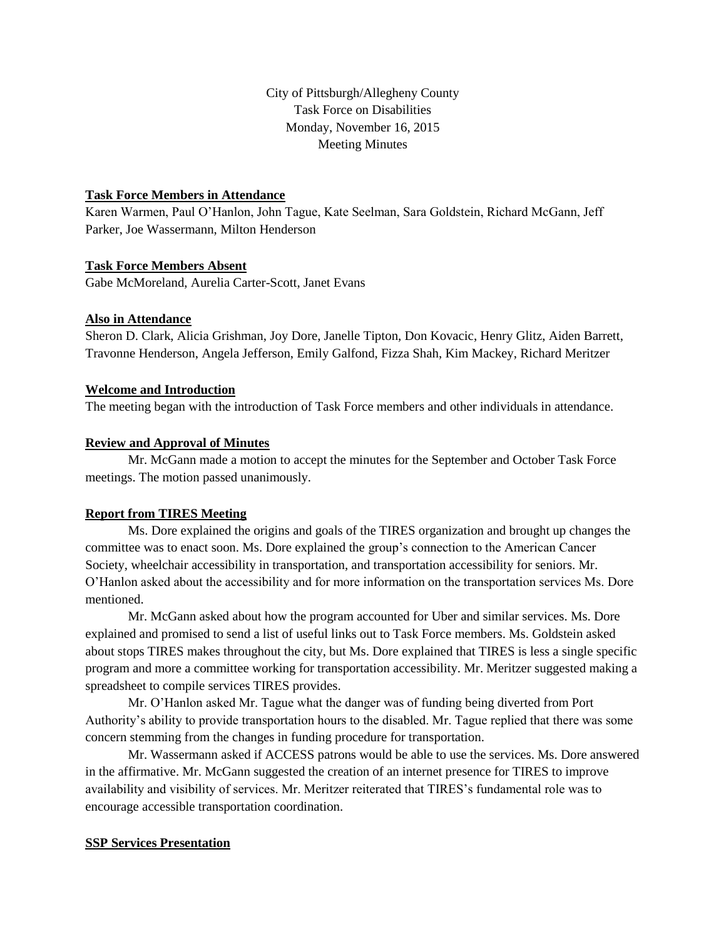# City of Pittsburgh/Allegheny County Task Force on Disabilities Monday, November 16, 2015 Meeting Minutes

# **Task Force Members in Attendance**

Karen Warmen, Paul O'Hanlon, John Tague, Kate Seelman, Sara Goldstein, Richard McGann, Jeff Parker, Joe Wassermann, Milton Henderson

# **Task Force Members Absent**

Gabe McMoreland, Aurelia Carter-Scott, Janet Evans

# **Also in Attendance**

Sheron D. Clark, Alicia Grishman, Joy Dore, Janelle Tipton, Don Kovacic, Henry Glitz, Aiden Barrett, Travonne Henderson, Angela Jefferson, Emily Galfond, Fizza Shah, Kim Mackey, Richard Meritzer

# **Welcome and Introduction**

The meeting began with the introduction of Task Force members and other individuals in attendance.

# **Review and Approval of Minutes**

Mr. McGann made a motion to accept the minutes for the September and October Task Force meetings. The motion passed unanimously.

# **Report from TIRES Meeting**

Ms. Dore explained the origins and goals of the TIRES organization and brought up changes the committee was to enact soon. Ms. Dore explained the group's connection to the American Cancer Society, wheelchair accessibility in transportation, and transportation accessibility for seniors. Mr. O'Hanlon asked about the accessibility and for more information on the transportation services Ms. Dore mentioned.

Mr. McGann asked about how the program accounted for Uber and similar services. Ms. Dore explained and promised to send a list of useful links out to Task Force members. Ms. Goldstein asked about stops TIRES makes throughout the city, but Ms. Dore explained that TIRES is less a single specific program and more a committee working for transportation accessibility. Mr. Meritzer suggested making a spreadsheet to compile services TIRES provides.

Mr. O'Hanlon asked Mr. Tague what the danger was of funding being diverted from Port Authority's ability to provide transportation hours to the disabled. Mr. Tague replied that there was some concern stemming from the changes in funding procedure for transportation.

Mr. Wassermann asked if ACCESS patrons would be able to use the services. Ms. Dore answered in the affirmative. Mr. McGann suggested the creation of an internet presence for TIRES to improve availability and visibility of services. Mr. Meritzer reiterated that TIRES's fundamental role was to encourage accessible transportation coordination.

### **SSP Services Presentation**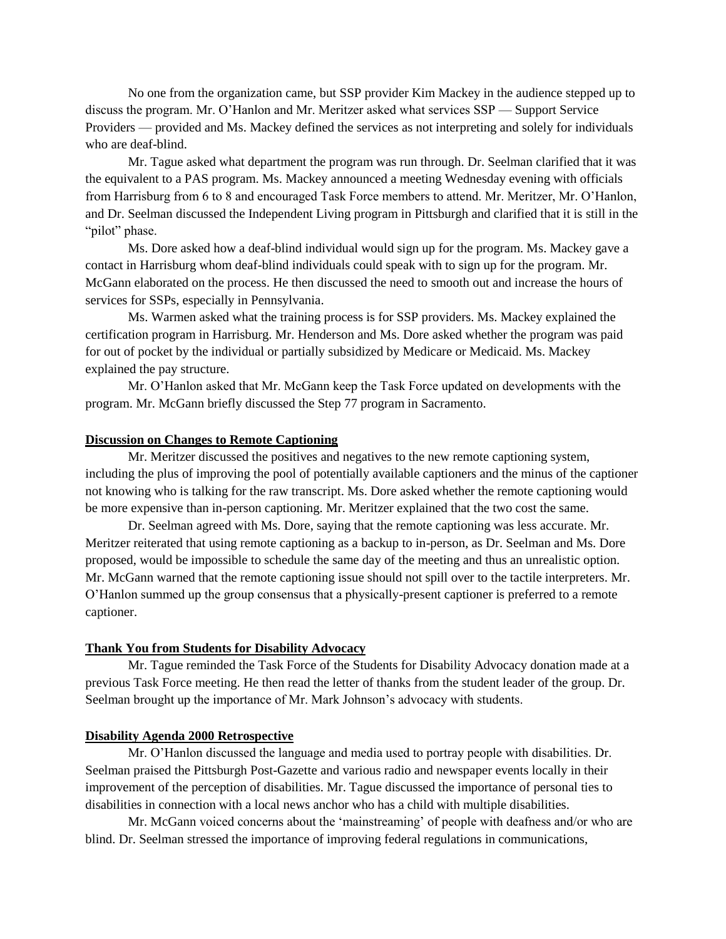No one from the organization came, but SSP provider Kim Mackey in the audience stepped up to discuss the program. Mr. O'Hanlon and Mr. Meritzer asked what services SSP — Support Service Providers — provided and Ms. Mackey defined the services as not interpreting and solely for individuals who are deaf-blind.

Mr. Tague asked what department the program was run through. Dr. Seelman clarified that it was the equivalent to a PAS program. Ms. Mackey announced a meeting Wednesday evening with officials from Harrisburg from 6 to 8 and encouraged Task Force members to attend. Mr. Meritzer, Mr. O'Hanlon, and Dr. Seelman discussed the Independent Living program in Pittsburgh and clarified that it is still in the "pilot" phase.

Ms. Dore asked how a deaf-blind individual would sign up for the program. Ms. Mackey gave a contact in Harrisburg whom deaf-blind individuals could speak with to sign up for the program. Mr. McGann elaborated on the process. He then discussed the need to smooth out and increase the hours of services for SSPs, especially in Pennsylvania.

Ms. Warmen asked what the training process is for SSP providers. Ms. Mackey explained the certification program in Harrisburg. Mr. Henderson and Ms. Dore asked whether the program was paid for out of pocket by the individual or partially subsidized by Medicare or Medicaid. Ms. Mackey explained the pay structure.

Mr. O'Hanlon asked that Mr. McGann keep the Task Force updated on developments with the program. Mr. McGann briefly discussed the Step 77 program in Sacramento.

## **Discussion on Changes to Remote Captioning**

Mr. Meritzer discussed the positives and negatives to the new remote captioning system, including the plus of improving the pool of potentially available captioners and the minus of the captioner not knowing who is talking for the raw transcript. Ms. Dore asked whether the remote captioning would be more expensive than in-person captioning. Mr. Meritzer explained that the two cost the same.

Dr. Seelman agreed with Ms. Dore, saying that the remote captioning was less accurate. Mr. Meritzer reiterated that using remote captioning as a backup to in-person, as Dr. Seelman and Ms. Dore proposed, would be impossible to schedule the same day of the meeting and thus an unrealistic option. Mr. McGann warned that the remote captioning issue should not spill over to the tactile interpreters. Mr. O'Hanlon summed up the group consensus that a physically-present captioner is preferred to a remote captioner.

### **Thank You from Students for Disability Advocacy**

Mr. Tague reminded the Task Force of the Students for Disability Advocacy donation made at a previous Task Force meeting. He then read the letter of thanks from the student leader of the group. Dr. Seelman brought up the importance of Mr. Mark Johnson's advocacy with students.

### **Disability Agenda 2000 Retrospective**

Mr. O'Hanlon discussed the language and media used to portray people with disabilities. Dr. Seelman praised the Pittsburgh Post-Gazette and various radio and newspaper events locally in their improvement of the perception of disabilities. Mr. Tague discussed the importance of personal ties to disabilities in connection with a local news anchor who has a child with multiple disabilities.

Mr. McGann voiced concerns about the 'mainstreaming' of people with deafness and/or who are blind. Dr. Seelman stressed the importance of improving federal regulations in communications,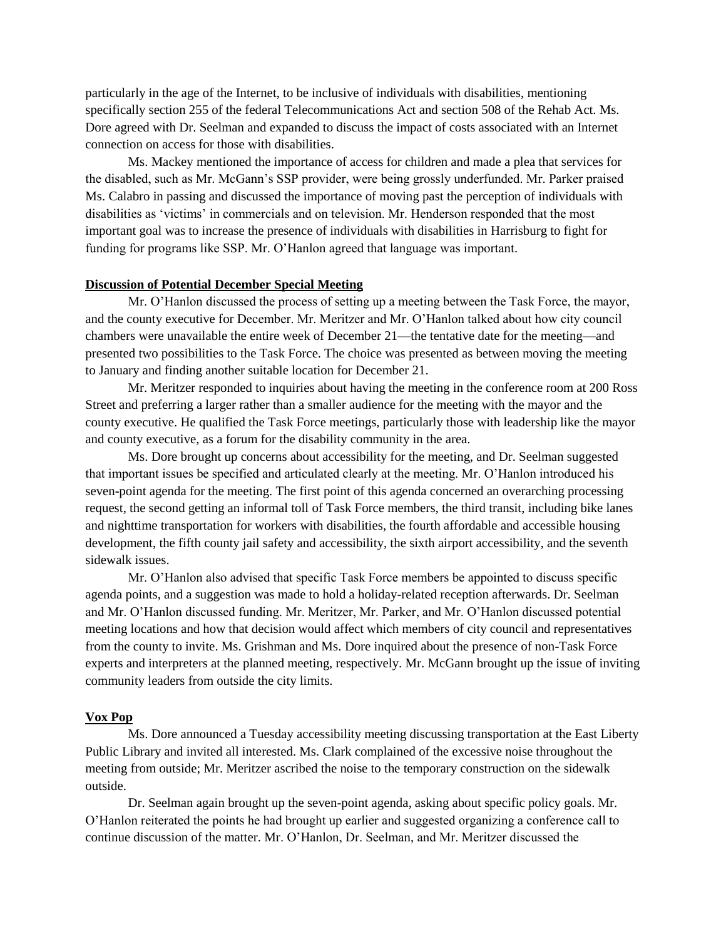particularly in the age of the Internet, to be inclusive of individuals with disabilities, mentioning specifically section 255 of the federal Telecommunications Act and section 508 of the Rehab Act. Ms. Dore agreed with Dr. Seelman and expanded to discuss the impact of costs associated with an Internet connection on access for those with disabilities.

Ms. Mackey mentioned the importance of access for children and made a plea that services for the disabled, such as Mr. McGann's SSP provider, were being grossly underfunded. Mr. Parker praised Ms. Calabro in passing and discussed the importance of moving past the perception of individuals with disabilities as 'victims' in commercials and on television. Mr. Henderson responded that the most important goal was to increase the presence of individuals with disabilities in Harrisburg to fight for funding for programs like SSP. Mr. O'Hanlon agreed that language was important.

#### **Discussion of Potential December Special Meeting**

Mr. O'Hanlon discussed the process of setting up a meeting between the Task Force, the mayor, and the county executive for December. Mr. Meritzer and Mr. O'Hanlon talked about how city council chambers were unavailable the entire week of December 21—the tentative date for the meeting—and presented two possibilities to the Task Force. The choice was presented as between moving the meeting to January and finding another suitable location for December 21.

Mr. Meritzer responded to inquiries about having the meeting in the conference room at 200 Ross Street and preferring a larger rather than a smaller audience for the meeting with the mayor and the county executive. He qualified the Task Force meetings, particularly those with leadership like the mayor and county executive, as a forum for the disability community in the area.

Ms. Dore brought up concerns about accessibility for the meeting, and Dr. Seelman suggested that important issues be specified and articulated clearly at the meeting. Mr. O'Hanlon introduced his seven-point agenda for the meeting. The first point of this agenda concerned an overarching processing request, the second getting an informal toll of Task Force members, the third transit, including bike lanes and nighttime transportation for workers with disabilities, the fourth affordable and accessible housing development, the fifth county jail safety and accessibility, the sixth airport accessibility, and the seventh sidewalk issues.

Mr. O'Hanlon also advised that specific Task Force members be appointed to discuss specific agenda points, and a suggestion was made to hold a holiday-related reception afterwards. Dr. Seelman and Mr. O'Hanlon discussed funding. Mr. Meritzer, Mr. Parker, and Mr. O'Hanlon discussed potential meeting locations and how that decision would affect which members of city council and representatives from the county to invite. Ms. Grishman and Ms. Dore inquired about the presence of non-Task Force experts and interpreters at the planned meeting, respectively. Mr. McGann brought up the issue of inviting community leaders from outside the city limits.

#### **Vox Pop**

Ms. Dore announced a Tuesday accessibility meeting discussing transportation at the East Liberty Public Library and invited all interested. Ms. Clark complained of the excessive noise throughout the meeting from outside; Mr. Meritzer ascribed the noise to the temporary construction on the sidewalk outside.

Dr. Seelman again brought up the seven-point agenda, asking about specific policy goals. Mr. O'Hanlon reiterated the points he had brought up earlier and suggested organizing a conference call to continue discussion of the matter. Mr. O'Hanlon, Dr. Seelman, and Mr. Meritzer discussed the